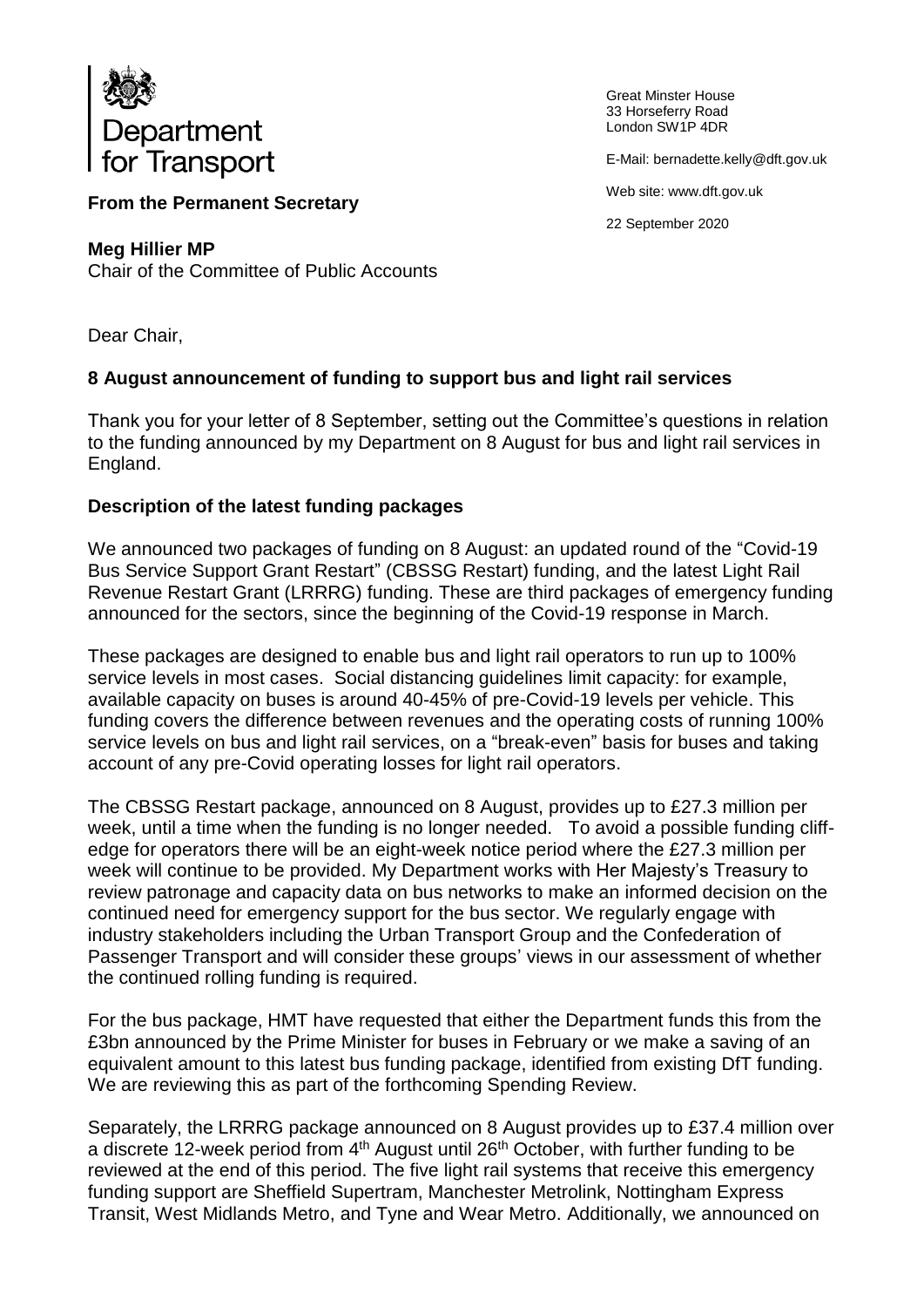

Great Minster House 33 Horseferry Road London SW1P 4DR

E-Mail: bernadette.kelly@dft.gov.uk

Web site: www.dft.gov.uk

22 September 2020

## **From the Permanent Secretary**

**Meg Hillier MP**

Chair of the Committee of Public Accounts

Dear Chair,

## **8 August announcement of funding to support bus and light rail services**

Thank you for your letter of 8 September, setting out the Committee's questions in relation to the funding announced by my Department on 8 August for bus and light rail services in England.

## **Description of the latest funding packages**

We announced two packages of funding on 8 August: an updated round of the "Covid-19 Bus Service Support Grant Restart" (CBSSG Restart) funding, and the latest Light Rail Revenue Restart Grant (LRRRG) funding. These are third packages of emergency funding announced for the sectors, since the beginning of the Covid-19 response in March.

These packages are designed to enable bus and light rail operators to run up to 100% service levels in most cases. Social distancing guidelines limit capacity: for example, available capacity on buses is around 40-45% of pre-Covid-19 levels per vehicle. This funding covers the difference between revenues and the operating costs of running 100% service levels on bus and light rail services, on a "break-even" basis for buses and taking account of any pre-Covid operating losses for light rail operators.

The CBSSG Restart package, announced on 8 August, provides up to £27.3 million per week, until a time when the funding is no longer needed. To avoid a possible funding cliffedge for operators there will be an eight-week notice period where the £27.3 million per week will continue to be provided. My Department works with Her Majesty's Treasury to review patronage and capacity data on bus networks to make an informed decision on the continued need for emergency support for the bus sector. We regularly engage with industry stakeholders including the Urban Transport Group and the Confederation of Passenger Transport and will consider these groups' views in our assessment of whether the continued rolling funding is required.

For the bus package, HMT have requested that either the Department funds this from the £3bn announced by the Prime Minister for buses in February or we make a saving of an equivalent amount to this latest bus funding package, identified from existing DfT funding. We are reviewing this as part of the forthcoming Spending Review.

Separately, the LRRRG package announced on 8 August provides up to £37.4 million over a discrete 12-week period from 4<sup>th</sup> August until 26<sup>th</sup> October, with further funding to be reviewed at the end of this period. The five light rail systems that receive this emergency funding support are Sheffield Supertram, Manchester Metrolink, Nottingham Express Transit, West Midlands Metro, and Tyne and Wear Metro. Additionally, we announced on